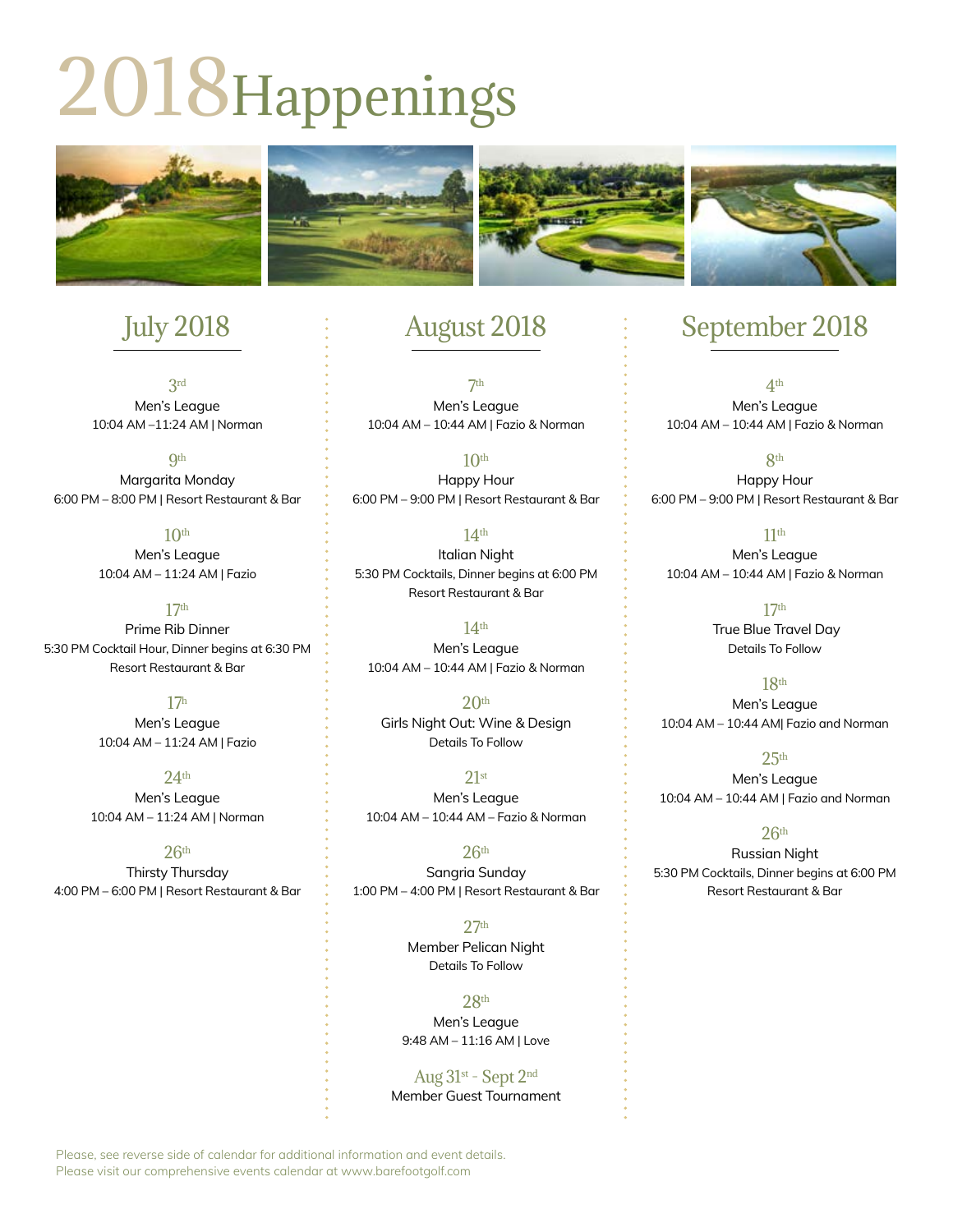# 2018Happenings



# July 2018

3rd Men's League 10:04 AM –11:24 AM | Norman

**9th** Margarita Monday 6:00 PM – 8:00 PM | Resort Restaurant & Bar

> $10<sup>th</sup>$ Men's League 10:04 AM – 11:24 AM | Fazio

17th Prime Rib Dinner 5:30 PM Cocktail Hour, Dinner begins at 6:30 PM Resort Restaurant & Bar

> 17h Men's League 10:04 AM – 11:24 AM | Fazio

 $24<sup>th</sup>$ Men's League 10:04 AM – 11:24 AM | Norman

 $26<sup>th</sup>$ Thirsty Thursday 4:00 PM – 6:00 PM | Resort Restaurant & Bar

## August 2018

 $7<sup>th</sup>$ Men's League 10:04 AM – 10:44 AM | Fazio & Norman

 $10<sup>th</sup>$ Happy Hour 6:00 PM – 9:00 PM | Resort Restaurant & Bar

14th Italian Night 5:30 PM Cocktails, Dinner begins at 6:00 PM Resort Restaurant & Bar

14th Men's League 10:04 AM – 10:44 AM | Fazio & Norman

 $20<sup>th</sup>$ Girls Night Out: Wine & Design Details To Follow

 $21st$ Men's League 10:04 AM – 10:44 AM – Fazio & Norman

 $26<sup>th</sup>$ Sangria Sunday 1:00 PM – 4:00 PM | Resort Restaurant & Bar

> 27th Member Pelican Night Details To Follow

28th Men's League 9:48 AM – 11:16 AM | Love

Aug 31st - Sept 2nd Member Guest Tournament

## September 2018

4th Men's League 10:04 AM – 10:44 AM | Fazio & Norman

8th Happy Hour 6:00 PM – 9:00 PM | Resort Restaurant & Bar

11th Men's League 10:04 AM – 10:44 AM | Fazio & Norman

> 17th True Blue Travel Day Details To Follow

18th Men's League 10:04 AM – 10:44 AM| Fazio and Norman

 $25<sup>th</sup>$ Men's League 10:04 AM – 10:44 AM | Fazio and Norman

 $26<sup>th</sup>$ 

Russian Night 5:30 PM Cocktails, Dinner begins at 6:00 PM Resort Restaurant & Bar

Please, see reverse side of calendar for additional information and event details. Please visit our comprehensive events calendar at www.barefootgolf.com